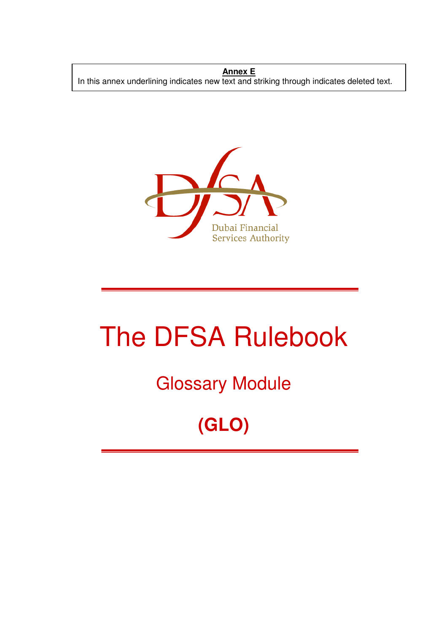**Annex E** In this annex underlining indicates new text and striking through indicates deleted text.



# The DFSA Rulebook

## Glossary Module

# **(GLO)**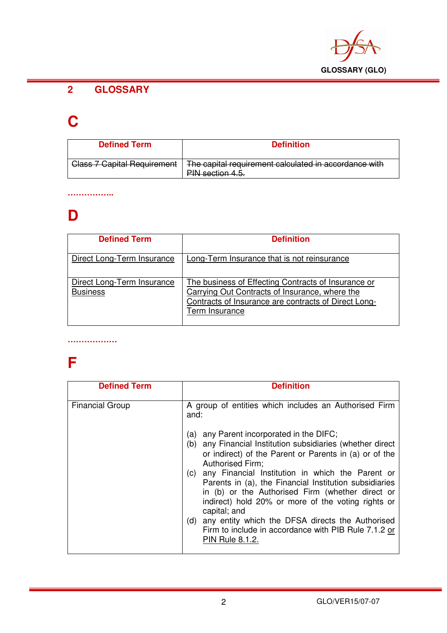

#### **2 GLOSSARY**

### **C**

| <b>Defined Term</b>                                                     | <b>Definition</b>                                                                                             |
|-------------------------------------------------------------------------|---------------------------------------------------------------------------------------------------------------|
| Class 7 Capital Requirement<br><del>Giass / Gapliar Regulierierii</del> | The capital requirement calculated in accordance with<br><b>PIN</b> contion 1 5<br><del>111 scuibh 4.J.</del> |

#### **……………..**

#### **D**

| <b>Defined Term</b>                           | <b>Definition</b>                                                                                                                                                               |
|-----------------------------------------------|---------------------------------------------------------------------------------------------------------------------------------------------------------------------------------|
| Direct Long-Term Insurance                    | Long-Term Insurance that is not reinsurance                                                                                                                                     |
| Direct Long-Term Insurance<br><b>Business</b> | The business of Effecting Contracts of Insurance or<br>Carrying Out Contracts of Insurance, where the<br>Contracts of Insurance are contracts of Direct Long-<br>Term Insurance |

#### **………………**

### **F**

| <b>Defined Term</b>    | <b>Definition</b>                                                                                                                                                                                                                                                                                                                                                                                                                                                                                                                                                                                                                                |
|------------------------|--------------------------------------------------------------------------------------------------------------------------------------------------------------------------------------------------------------------------------------------------------------------------------------------------------------------------------------------------------------------------------------------------------------------------------------------------------------------------------------------------------------------------------------------------------------------------------------------------------------------------------------------------|
| <b>Financial Group</b> | A group of entities which includes an Authorised Firm<br>and:<br>any Parent incorporated in the DIFC;<br>(a)<br>any Financial Institution subsidiaries (whether direct<br>(b)<br>or indirect) of the Parent or Parents in (a) or of the<br>Authorised Firm;<br>any Financial Institution in which the Parent or<br>(c)<br>Parents in (a), the Financial Institution subsidiaries<br>in (b) or the Authorised Firm (whether direct or<br>indirect) hold 20% or more of the voting rights or<br>capital; and<br>any entity which the DFSA directs the Authorised<br>(d)<br>Firm to include in accordance with PIB Rule 7.1.2 or<br>PIN Rule 8.1.2. |